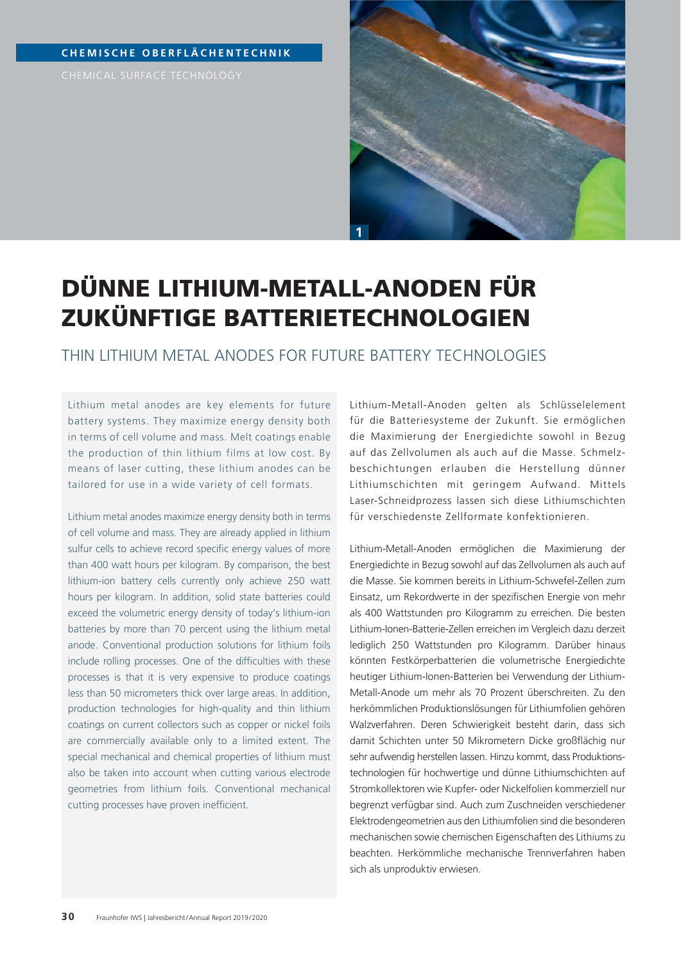### **CHEMISCHE OBERFLÄCHENTECHNIK**



# DÜNNE LITHIUM-METALL-ANODEN FÜR ZUKÜNFTIGE BATTERIETECHNOLOGIEN

THIN LITHIUM METAL ANODES FOR FUTURE BATTERY TECHNOLOGIES

Lithium metal anodes are key elements for future battery systems. They maximize energy density both in terms of cell volume and mass. Melt coatings enable the production of thin lithium films at low cost. By means of laser cutting, these lithium anodes can be tailored for use in a wide variety of cell formats.

Lithium metal anodes maximize energy density both in terms of cell volume and mass. They are already applied in lithium sulfur cells to achieve record specific energy values of more than 400 watt hours per kilogram. By comparison, the best lithium-ion battery cells currently only achieve 250 watt hours per kilogram. In addition, solid state batteries could exceed the volumetric energy density of today's lithium-ion batteries by more than 70 percent using the lithium metal anode. Conventional production solutions for lithium foils include rolling processes. One of the difficulties with these processes is that it is very expensive to produce coatings less than 50 micrometers thick over large areas. In addition, production technologies for high-quality and thin lithium coatings on current collectors such as copper or nickel foils are commercially available only to a limited extent. The special mechanical and chemical properties of lithium must also be taken into account when cutting various electrode geometries from lithium foils. Conventional mechanical cutting processes have proven inefficient.

Lithium-Metall-Anoden gelten als Schlüsselelement für die Batteriesysteme der Zukunft. Sie ermöglichen die Maximierung der Energiedichte sowohl in Bezug auf das Zellvolumen als auch auf die Masse. Schmelzbeschichtungen erlauben die Herstellung dünner Lithiumschichten mit geringem Aufwand. Mittels Laser-Schneidprozess lassen sich diese Lithiumschichten für verschiedenste Zellformate konfektionieren.

Lithium-Metall-Anoden ermöglichen die Maximierung der Energiedichte in Bezug sowohl auf das Zellvolumen als auch auf die Masse. Sie kommen bereits in Lithium-Schwefel-Zellen zum Einsatz, um Rekordwerte in der spezifischen Energie von mehr als 400 Wattstunden pro Kilogramm zu erreichen. Die besten Lithium-Ionen-Batterie-Zellen erreichen im Vergleich dazu derzeit lediglich 250 Wattstunden pro Kilogramm. Darüber hinaus könnten Festkörperbatterien die volumetrische Energiedichte heutiger Lithium-Ionen-Batterien bei Verwendung der Lithium-Metall-Anode um mehr als 70 Prozent überschreiten. Zu den herkömmlichen Produktionslösungen für Lithiumfolien gehören Walzverfahren. Deren Schwierigkeit besteht darin, dass sich damit Schichten unter 50 Mikrometern Dicke großflächig nur sehr aufwendig herstellen lassen. Hinzu kommt, dass Produktionstechnologien für hochwertige und dünne Lithiumschichten auf Stromkollektoren wie Kupfer- oder Nickelfolien kommerziell nur begrenzt verfügbar sind. Auch zum Zuschneiden verschiedener Elektrodengeometrien aus den Lithiumfolien sind die besonderen mechanischen sowie chemischen Eigenschaften des Lithiums zu beachten. Herkömmliche mechanische Trennverfahren haben sich als unproduktiv erwiesen.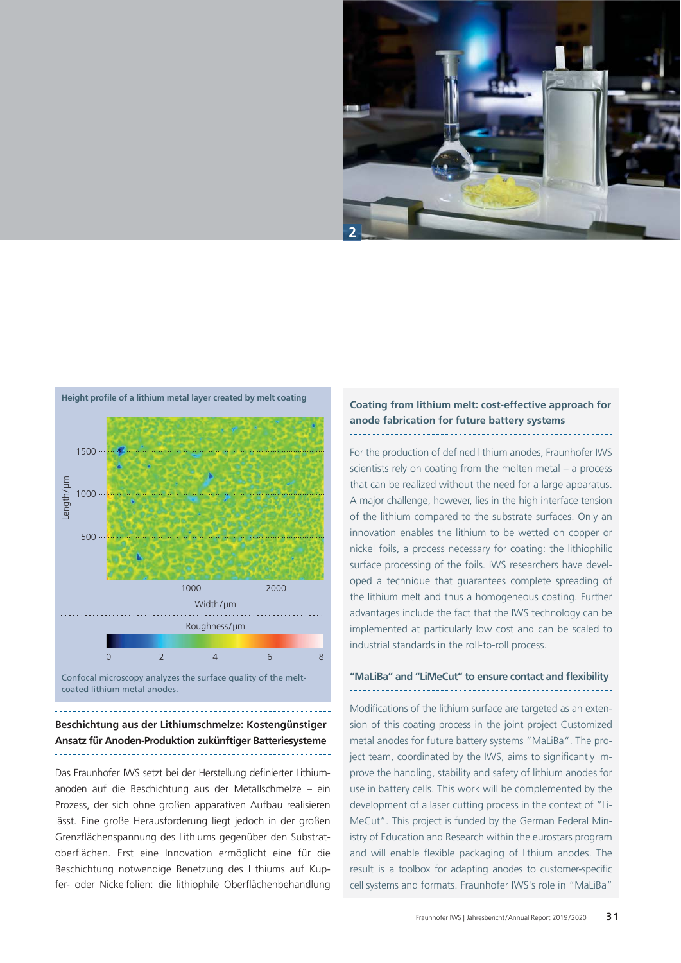



Confocal microscopy analyzes the surface quality of the meltcoated lithium metal anodes.

## **Beschichtung aus der Lithiumschmelze: Kostengünstiger Ansatz für Anoden-Produktion zukünftiger Batteriesysteme**

Das Fraunhofer IWS setzt bei der Herstellung definierter Lithiumanoden auf die Beschichtung aus der Metallschmelze – ein Prozess, der sich ohne großen apparativen Aufbau realisieren lässt. Eine große Herausforderung liegt jedoch in der großen Grenzflächenspannung des Lithiums gegenüber den Substratoberflächen. Erst eine Innovation ermöglicht eine für die Beschichtung notwendige Benetzung des Lithiums auf Kupfer- oder Nickelfolien: die lithiophile Oberflächenbehandlung

## **Coating from lithium melt: cost-effective approach for anode fabrication for future battery systems**

For the production of defined lithium anodes, Fraunhofer IWS scientists rely on coating from the molten metal – a process that can be realized without the need for a large apparatus. A major challenge, however, lies in the high interface tension of the lithium compared to the substrate surfaces. Only an innovation enables the lithium to be wetted on copper or nickel foils, a process necessary for coating: the lithiophilic surface processing of the foils. IWS researchers have developed a technique that guarantees complete spreading of the lithium melt and thus a homogeneous coating. Further advantages include the fact that the IWS technology can be implemented at particularly low cost and can be scaled to industrial standards in the roll-to-roll process.

## "MaLiBa" and "LiMeCut" to ensure contact and flexibility

Modifications of the lithium surface are targeted as an extension of this coating process in the joint project Customized metal anodes for future battery systems "MaLiBa". The project team, coordinated by the IWS, aims to significantly improve the handling, stability and safety of lithium anodes for use in battery cells. This work will be complemented by the development of a laser cutting process in the context of "Li-MeCut". This project is funded by the German Federal Ministry of Education and Research within the eurostars program and will enable flexible packaging of lithium anodes. The result is a toolbox for adapting anodes to customer-specific cell systems and formats. Fraunhofer IWS's role in "MaLiBa"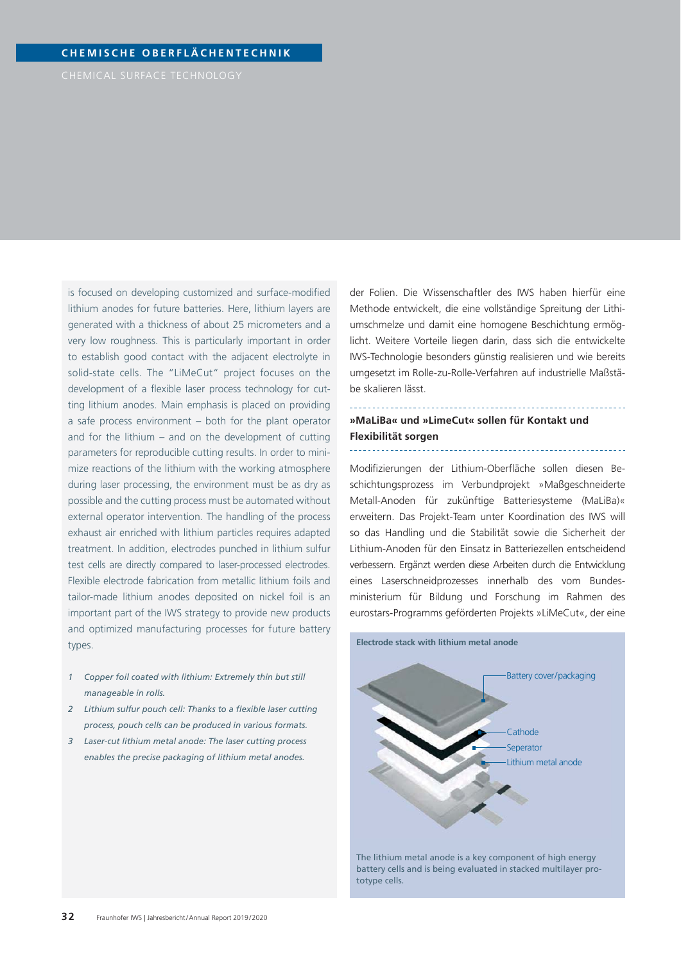is focused on developing customized and surface-modified lithium anodes for future batteries. Here, lithium layers are generated with a thickness of about 25 micrometers and a very low roughness. This is particularly important in order to establish good contact with the adjacent electrolyte in solid-state cells. The "LiMeCut" project focuses on the development of a flexible laser process technology for cutting lithium anodes. Main emphasis is placed on providing a safe process environment – both for the plant operator and for the lithium – and on the development of cutting parameters for reproducible cutting results. In order to minimize reactions of the lithium with the working atmosphere during laser processing, the environment must be as dry as possible and the cutting process must be automated without external operator intervention. The handling of the process exhaust air enriched with lithium particles requires adapted treatment. In addition, electrodes punched in lithium sulfur test cells are directly compared to laser-processed electrodes. Flexible electrode fabrication from metallic lithium foils and tailor-made lithium anodes deposited on nickel foil is an important part of the IWS strategy to provide new products and optimized manufacturing processes for future battery types.

- *1 Copper foil coated with lithium: Extremely thin but still manageable in rolls.*
- 2 Lithium sulfur pouch cell: Thanks to a flexible laser cutting  *process, pouch cells can be produced in various formats.*
- *3 Laser-cut lithium metal anode: The laser cutting process enables the precise packaging of lithium metal anodes.*

der Folien. Die Wissenschaftler des IWS haben hierfür eine Methode entwickelt, die eine vollständige Spreitung der Lithiumschmelze und damit eine homogene Beschichtung ermöglicht. Weitere Vorteile liegen darin, dass sich die entwickelte IWS-Technologie besonders günstig realisieren und wie bereits umgesetzt im Rolle-zu-Rolle-Verfahren auf industrielle Maßstäbe skalieren lässt.

#### **»MaLiBa« und »LimeCut« sollen für Kontakt und Flexibilität sorgen**

Modifizierungen der Lithium-Oberfläche sollen diesen Beschichtungsprozess im Verbundprojekt »Maßgeschneiderte Metall-Anoden für zukünftige Batteriesysteme (MaLiBa)« erweitern. Das Projekt-Team unter Koordination des IWS will so das Handling und die Stabilität sowie die Sicherheit der Lithium-Anoden für den Einsatz in Batteriezellen entscheidend verbessern. Ergänzt werden diese Arbeiten durch die Entwicklung eines Laserschneidprozesses innerhalb des vom Bundesministerium für Bildung und Forschung im Rahmen des eurostars-Programms geförderten Projekts »LiMeCut«, der eine